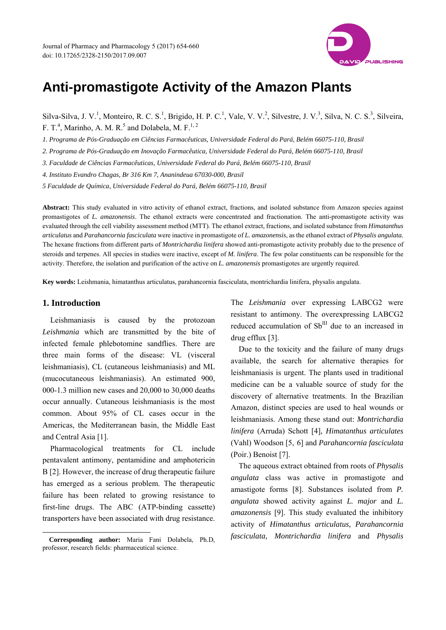

# **Anti-promastigote Activity of the Amazon Plants**

Silva-Silva, J. V.<sup>1</sup>, Monteiro, R. C. S.<sup>1</sup>, Brigido, H. P. C.<sup>1</sup>, Vale, V. V.<sup>2</sup>, Silvestre, J. V.<sup>3</sup>, Silva, N. C. S.<sup>3</sup>, Silveira, F. T.<sup>4</sup>, Marinho, A. M. R.<sup>5</sup> and Dolabela, M. F.<sup>1, 2</sup>

*1. Programa de Pós-Graduação em Ciências Farmacêuticas, Universidade Federal do Pará, Belém 66075-110, Brasil* 

*2. Programa de Pós-Graduação em Inovação Farmacêutica, Universidade Federal do Pará, Belém 66075-110, Brasil* 

*3. Faculdade de Ciências Farmacêuticas, Universidade Federal do Pará, Belém 66075-110, Brasil* 

*4. Instituto Evandro Chagas, Br 316 Km 7, Ananindeua 67030-000, Brasil* 

*5 Faculdade de Química, Universidade Federal do Pará, Belém 66075-110, Brasil* 

**Abstract:** This study evaluated in vitro activity of ethanol extract, fractions, and isolated substance from Amazon species against promastigotes of *L. amazonensis*. The ethanol extracts were concentrated and fractionation. The anti-promastigote activity was evaluated through the cell viability assessment method (MTT). The ethanol extract, fractions, and isolated substance from *Himatanthus articulatus* and *Parahancornia fasciculata* were inactive in promastigote of *L. amazonensis*, as the ethanol extract of *Physalis angulata.* The hexane fractions from different parts of *Montrichardia linifera* showed anti-promastigote activity probably due to the presence of steroids and terpenes. All species in studies were inactive, except of *M. linifera*. The few polar constituents can be responsible for the activity. Therefore, the isolation and purification of the active on *L. amazonensis* promastigotes are urgently required.

**Key words:** Leishmania, himatanthus articulatus, parahancornia fasciculata, montrichardia linifera, physalis angulata.

# **1. Introduction**

 $\overline{a}$ 

Leishmaniasis is caused by the protozoan *Leishmania* which are transmitted by the bite of infected female phlebotomine sandflies. There are three main forms of the disease: VL (visceral leishmaniasis), CL (cutaneous leishmaniasis) and ML (mucocutaneous leishmaniasis). An estimated 900, 000-1.3 million new cases and 20,000 to 30,000 deaths occur annually. Cutaneous leishmaniasis is the most common. About 95% of CL cases occur in the Americas, the Mediterranean basin, the Middle East and Central Asia [1].

Pharmacological treatments for CL include pentavalent antimony, pentamidine and amphotericin B [2]. However, the increase of drug therapeutic failure has emerged as a serious problem. The therapeutic failure has been related to growing resistance to first-line drugs. The ABC (ATP-binding cassette) transporters have been associated with drug resistance.

The *Leishmania* over expressing LABCG2 were resistant to antimony. The overexpressing LABCG2 reduced accumulation of Sb<sup>III</sup> due to an increased in drug efflux [3].

Due to the toxicity and the failure of many drugs available, the search for alternative therapies for leishmaniasis is urgent. The plants used in traditional medicine can be a valuable source of study for the discovery of alternative treatments. In the Brazilian Amazon, distinct species are used to heal wounds or leishmaniasis. Among these stand out: *Montrichardia linifera* (Arruda) Schott [4], *Himatanthus articulates* (Vahl) Woodson [5, 6] and *Parahancornia fasciculata* (Poir.) Benoist [7].

The aqueous extract obtained from roots of *Physalis angulata* class was active in promastigote and amastigote forms [8]. Substances isolated from *P. angulata* showed activity against *L. major* and *L. amazonensis* [9]. This study evaluated the inhibitory activity of *Himatanthus articulatus, Parahancornia fasciculata, Montrichardia linifera* and *Physalis* 

**Corresponding author:** Maria Fani Dolabela, Ph.D, professor, research fields: pharmaceutical science.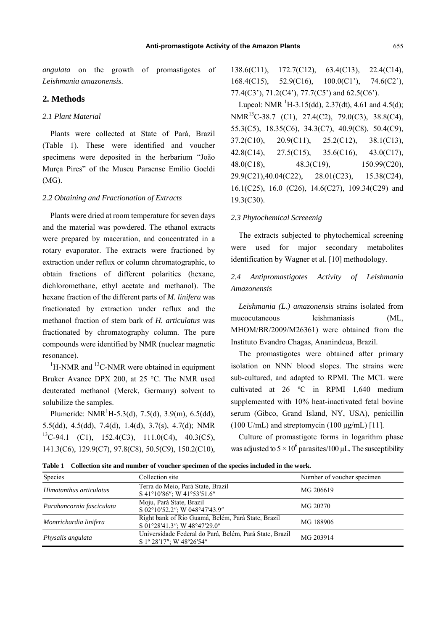*angulata* on the growth of promastigotes of *Leishmania amazonensis.*

# **2. Methods**

### *2.1 Plant Material*

Plants were collected at State of Pará, Brazil (Table 1). These were identified and voucher specimens were deposited in the herbarium "João Murça Pires" of the Museu Paraense Emílio Goeldi (MG).

# *2.2 Obtaining and Fractionation of Extracts*

Plants were dried at room temperature for seven days and the material was powdered. The ethanol extracts were prepared by maceration, and concentrated in a rotary evaporator. The extracts were fractioned by extraction under reflux or column chromatographic, to obtain fractions of different polarities (hexane, dichloromethane, ethyl acetate and methanol). The hexane fraction of the different parts of *M. linifera* was fractionated by extraction under reflux and the methanol fraction of stem bark of *H. articulatus* was fractionated by chromatography column. The pure compounds were identified by NMR (nuclear magnetic resonance).

 ${}^{1}$ H-NMR and  ${}^{13}$ C-NMR were obtained in equipment Bruker Avance DPX 200, at 25 °C. The NMR used deuterated methanol (Merck, Germany) solvent to solubilize the samples.

Plumeride:  $NMR<sup>1</sup>H-5.3(d), 7.5(d), 3.9(m), 6.5(dd),$ 5.5(dd), 4.5(dd), 7.4(d), 1.4(d), 3.7(s), 4.7(d); NMR  ${}^{13}C-94.1$  (C1), 152.4(C3), 111.0(C4), 40.3(C5), 141.3(C6), 129.9(C7), 97.8(C8), 50.5(C9), 150.2(C10),

138.6(C11), 172.7(C12), 63.4(C13), 22.4(C14), 168.4(C15), 52.9(C16), 100.0(C1'), 74.6(C2'), 77.4(C3'), 71.2(C4'), 77.7(C5') and 62.5(C6').

Lupeol: NMR  $^{1}H-3.15(dd)$ , 2.37(dt), 4.61 and 4.5(d); NMR<sup>13</sup>C-38.7 (C1), 27.4(C2), 79.0(C3), 38.8(C4), 55.3(C5), 18.35(C6), 34.3(C7), 40.9(C8), 50.4(C9), 37.2(C10), 20.9(C11), 25.2(C12), 38.1(C13), 42.8(C14), 27.5(C15), 35.6(C16), 43.0(C17), 48.0(C18), 48.3(C19), 150.99(C20), 29.9(C21),40.04(C22), 28.01(C23), 15.38(C24), 16.1(C25), 16.0 (C26), 14.6(C27), 109.34(C29) and 19.3(C30).

#### *2.3 Phytochemical Screeenig*

The extracts subjected to phytochemical screening were used for major secondary metabolites identification by Wagner et al. [10] methodology.

# *2.4 Antipromastigotes Activity of Leishmania Amazonensis*

*Leishmania (L.) amazonensis* strains isolated from mucocutaneous leishmaniasis (ML, MHOM/BR/2009/M26361) were obtained from the Instituto Evandro Chagas, Ananindeua, Brazil.

The promastigotes were obtained after primary isolation on NNN blood slopes. The strains were sub-cultured, and adapted to RPMI. The MCL were cultivated at 26 ºC in RPMI 1,640 medium supplemented with 10% heat-inactivated fetal bovine serum (Gibco, Grand Island, NY, USA), penicillin  $(100 \text{ U/mL})$  and streptomycin  $(100 \text{ µg/mL})$  [11].

Culture of promastigote forms in logarithm phase was adjusted to  $5 \times 10^6$  parasites/100 µL. The susceptibility

**Table 1 Collection site and number of voucher specimen of the species included in the work.** 

| Species                   | Collection site                                                                     | Number of voucher specimen |  |  |
|---------------------------|-------------------------------------------------------------------------------------|----------------------------|--|--|
| Himatanthus articulatus   | Terra do Meio, Pará State, Brazil<br>S 41°10'86"; W 41°53'51.6"                     | MG 206619                  |  |  |
| Parahancornia fasciculata | Moju, Pará State, Brazil<br>S 02°10'52.2"; W 048°47'43.9"                           | MG 20270                   |  |  |
| Montrichardia linifera    | Right bank of Rio Guamá, Belém, Pará State, Brazil<br>S 01°28'41.3"; W 48°47'29.0"  | MG 188906                  |  |  |
| Physalis angulata         | Universidade Federal do Pará, Belém, Pará State, Brazil<br>S 1° 28'17"; W 48°26'54" | MG 203914                  |  |  |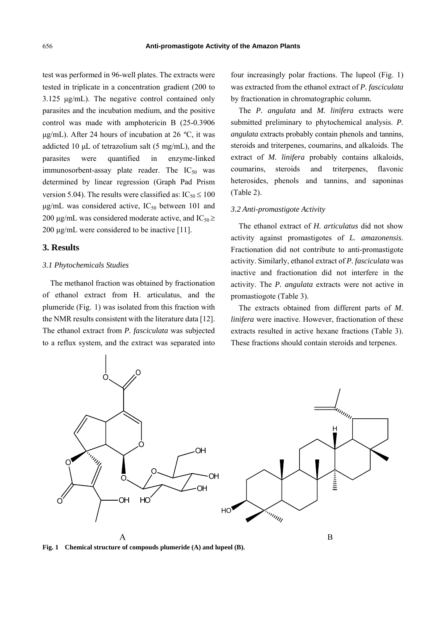test was performed in 96-well plates. The extracts were tested in triplicate in a concentration gradient (200 to 3.125 μg/mL). The negative control contained only parasites and the incubation medium, and the positive control was made with amphotericin B (25-0.3906 μg/mL). After 24 hours of incubation at 26 ºC, it was addicted 10  $\mu$ L of tetrazolium salt (5 mg/mL), and the parasites were quantified in enzyme-linked immunosorbent-assay plate reader. The  $IC_{50}$  was determined by linear regression (Graph Pad Prism version 5.04). The results were classified as:  $IC_{50} \le 100$  $\mu$ g/mL was considered active, IC<sub>50</sub> between 101 and 200 μg/mL was considered moderate active, and IC<sub>50</sub>  $\geq$ 200 μg/mL were considered to be inactive [11].

#### **3. Results**

#### *3.1 Phytochemicals Studies*

The methanol fraction was obtained by fractionation of ethanol extract from H. articulatus, and the plumeride (Fig. 1) was isolated from this fraction with the NMR results consistent with the literature data [12]. The ethanol extract from *P. fasciculata* was subjected to a reflux system, and the extract was separated into four increasingly polar fractions. The lupeol (Fig. 1) was extracted from the ethanol extract of *P. fasciculata* by fractionation in chromatographic column*.*

The *P. angulata* and *M. linifera* extracts were submitted preliminary to phytochemical analysis. *P. angulata* extracts probably contain phenols and tannins, steroids and triterpenes, coumarins, and alkaloids. The extract of *M. linifera* probably contains alkaloids, coumarins, steroids and triterpenes, flavonic heterosides, phenols and tannins, and saponinas (Table 2).

#### *3.2 Anti-promastigote Activity*

The ethanol extract of *H. articulatus* did not show activity against promastigotes of *L. amazonensis*. Fractionation did not contribute to anti-promastigote activity. Similarly, ethanol extract of *P. fasciculata* was inactive and fractionation did not interfere in the activity. The *P. angulata* extracts were not active in promastiogote (Table 3).

The extracts obtained from different parts of *M. linifera* were inactive. However, fractionation of these extracts resulted in active hexane fractions (Table 3). These fractions should contain steroids and terpenes.



**Fig. 1 Chemical structure of compouds plumeride (A) and lupeol (B).**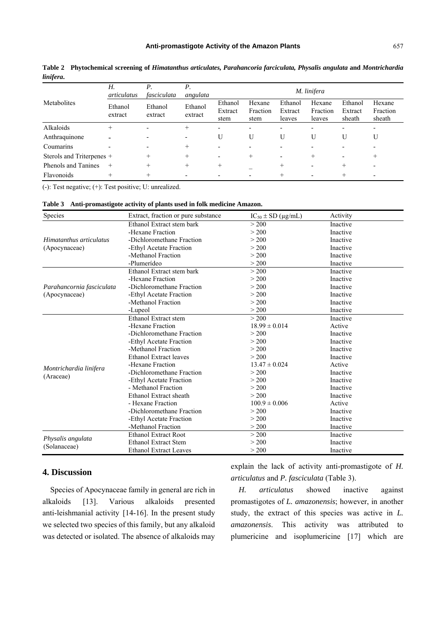#### **Anti-promastigote Activity of the Amazon Plants**

| Metabolites               | Н.<br>articulatus  | Р.<br>fasciculata  | Р.<br>angulata     | M. linifera                |                            |                              |                              |                              |                              |
|---------------------------|--------------------|--------------------|--------------------|----------------------------|----------------------------|------------------------------|------------------------------|------------------------------|------------------------------|
|                           | Ethanol<br>extract | Ethanol<br>extract | Ethanol<br>extract | Ethanol<br>Extract<br>stem | Hexane<br>Fraction<br>stem | Ethanol<br>Extract<br>leaves | Hexane<br>Fraction<br>leaves | Ethanol<br>Extract<br>sheath | Hexane<br>Fraction<br>sheath |
| Alkaloids                 | $^{+}$             |                    | $^{+}$             | $\overline{\phantom{0}}$   |                            | $\overline{\phantom{0}}$     |                              |                              |                              |
| Anthraquinone             |                    |                    |                    | U                          | U                          | U                            | U                            | U                            | U                            |
| Coumarins                 |                    |                    | $^+$               | $\overline{\phantom{0}}$   |                            |                              |                              |                              |                              |
| Sterols and Triterpenes + |                    |                    | $^+$               |                            | $^+$                       | $\overline{\phantom{0}}$     | $^{+}$                       |                              |                              |
| Phenols and Tanines       | $+$                |                    | $^+$               | $\pm$                      |                            | $^{+}$                       |                              | $^+$                         |                              |
| Flavonoids                |                    |                    |                    |                            |                            |                              |                              | $^+$                         |                              |

**Table 2 Phytochemical screening of** *Himatanthus articulates, Parahancoria farciculata, Physalis angulata* **and** *Montrichardia linifera***.** 

(-): Test negative; (+): Test positive; U: unrealized.

#### **Table 3 Anti-promastigote activity of plants used in folk medicine Amazon.**

| Species                                  | Extract, fraction or pure substance | $IC_{50} \pm SD$ (µg/mL) | Activity |
|------------------------------------------|-------------------------------------|--------------------------|----------|
|                                          | Ethanol Extract stem bark           | > 200                    | Inactive |
|                                          | -Hexane Fraction                    | > 200                    | Inactive |
| Himatanthus articulatus<br>(Apocynaceae) | -Dichloromethane Fraction           | > 200                    | Inactive |
|                                          | -Ethyl Acetate Fraction             | > 200                    | Inactive |
|                                          | -Methanol Fraction                  | > 200                    | Inactive |
|                                          | -Plumerídeo                         | > 200                    | Inactive |
|                                          | Ethanol Extract stem bark           | > 200                    | Inactive |
|                                          | -Hexane Fraction                    | > 200                    | Inactive |
| Parahancornia fasciculata                | -Dichloromethane Fraction           | > 200                    | Inactive |
| (Apocynaceae)                            | -Ethyl Acetate Fraction             | > 200                    | Inactive |
|                                          | -Methanol Fraction                  | > 200                    | Inactive |
|                                          | -Lupeol                             | > 200                    | Inactive |
|                                          | Ethanol Extract stem                | > 200                    | Inactive |
|                                          | -Hexane Fraction                    | $18.99 \pm 0.014$        | Active   |
|                                          | -Dichloromethane Fraction           | > 200                    | Inactive |
|                                          | -Ethyl Acetate Fraction             | > 200                    | Inactive |
|                                          | -Methanol Fraction                  | > 200                    | Inactive |
|                                          | <b>Ethanol Extract leaves</b>       | > 200                    | Inactive |
|                                          | -Hexane Fraction                    | $13.47 \pm 0.024$        | Active   |
| Montrichardia linifera<br>(Araceae)      | -Dichloromethane Fraction           | > 200                    | Inactive |
|                                          | -Ethyl Acetate Fraction             | > 200                    | Inactive |
|                                          | - Methanol Fraction                 | > 200                    | Inactive |
|                                          | Ethanol Extract sheath              | > 200                    | Inactive |
|                                          | - Hexane Fraction                   | $100.9 \pm 0.006$        | Active   |
|                                          | -Dichloromethane Fraction           | > 200                    | Inactive |
|                                          | -Ethyl Acetate Fraction             | > 200                    | Inactive |
|                                          | -Methanol Fraction                  | > 200                    | Inactive |
|                                          | <b>Ethanol Extract Root</b>         | > 200                    | Inactive |
| Physalis angulata                        | <b>Ethanol Extract Stem</b>         | > 200                    | Inactive |
| (Solanaceae)                             | <b>Ethanol Extract Leaves</b>       | > 200                    | Inactive |

# **4. Discussion**

Species of Apocynaceae family in general are rich in alkaloids [13]. Various alkaloids presented anti-leishmanial activity [14-16]. In the present study we selected two species of this family, but any alkaloid was detected or isolated. The absence of alkaloids may

explain the lack of activity anti-promastigote of *H. articulatus* and *P. fasciculata* (Table 3).

*H. articulatus* showed inactive against promastigotes of *L. amazonensis*; however, in another study, the extract of this species was active in *L. amazonensis*. This activity was attributed to plumericine and isoplumericine [17] which are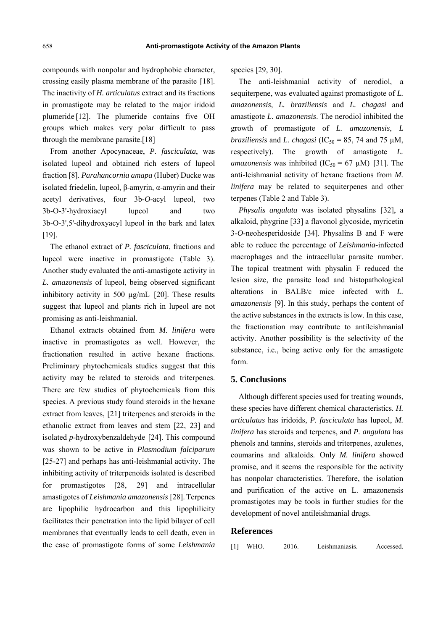compounds with nonpolar and hydrophobic character, crossing easily plasma membrane of the parasite [18]. The inactivity of *H. articulatus* extract and its fractions in promastigote may be related to the major iridoid plumeride<sup>[12]</sup>. The plumeride contains five OH groups which makes very polar difficult to pass through the membrane parasite.[18]

From another Apocynaceae, *P. fasciculata*, was isolated lupeol and obtained rich esters of lupeol fraction [8]. *Parahancornia amapa* (Huber) Ducke was isolated friedelin, lupeol, β-amyrin, α-amyrin and their acetyl derivatives, four 3b-*O*-acyl lupeol, two 3b-O-3'-hydroxiacyl lupeol and two 3b-O-3',5'-dihydroxyacyl lupeol in the bark and latex [19].

The ethanol extract of *P. fasciculata*, fractions and lupeol were inactive in promastigote (Table 3). Another study evaluated the anti-amastigote activity in *L. amazonensis* of lupeol, being observed significant inhibitory activity in 500 µg/mL [20]. These results suggest that lupeol and plants rich in lupeol are not promising as anti-leishmanial.

Ethanol extracts obtained from *M. linifera* were inactive in promastigotes as well. However, the fractionation resulted in active hexane fractions. Preliminary phytochemicals studies suggest that this activity may be related to steroids and triterpenes. There are few studies of phytochemicals from this species. A previous study found steroids in the hexane extract from leaves, [21] triterpenes and steroids in the ethanolic extract from leaves and stem [22, 23] and isolated *p*-hydroxybenzaldehyde [24]. This compound was shown to be active in *Plasmodium falciparum*  [25-27] and perhaps has anti-leishmanial activity. The inhibiting activity of triterpenoids isolated is described for promastigotes [28, 29] and intracellular amastigotes of *Leishmania amazonensis* [28].Terpenes are lipophilic hydrocarbon and this lipophilicity facilitates their penetration into the lipid bilayer of cell membranes that eventually leads to cell death, even in the case of promastigote forms of some *Leishmania*

species [29, 30].

The anti-leishmanial activity of nerodiol, a sequiterpene, was evaluated against promastigote of *L. amazonensis*, *L. braziliensis* and *L. chagasi* and amastigote *L. amazonensis*. The nerodiol inhibited the growth of promastigote of *L. amazonensis*, *L braziliensis* and *L. chagasi* ( $IC_{50} = 85$ , 74 and 75  $\mu$ M, respectively). The growth of amastigote *L. amazonensis* was inhibited (IC<sub>50</sub> = 67  $\mu$ M) [31]. The anti-leishmanial activity of hexane fractions from *M. linifera* may be related to sequiterpenes and other terpenes (Table 2 and Table 3).

*Physalis angulata* was isolated physalins [32], a alkaloid, phygrine [33] a flavonol glycoside, myricetin 3-*O*-neohesperidoside [34]. Physalins B and F were able to reduce the percentage of *Leishmania*-infected macrophages and the intracellular parasite number. The topical treatment with physalin F reduced the lesion size, the parasite load and histopathological alterations in BALB/c mice infected with *L. amazonensis* [9]. In this study, perhaps the content of the active substances in the extracts is low. In this case, the fractionation may contribute to antileishmanial activity. Another possibility is the selectivity of the substance, i.e., being active only for the amastigote form.

# **5. Conclusions**

Although different species used for treating wounds, these species have different chemical characteristics. *H. articulatus* has iridoids, *P. fasciculata* has lupeol, *M. linifera* has steroids and terpenes, and *P. angulata* has phenols and tannins, steroids and triterpenes, azulenes, coumarins and alkaloids. Only *M. linifera* showed promise, and it seems the responsible for the activity has nonpolar characteristics. Therefore, the isolation and purification of the active on L. amazonensis promastigotes may be tools in further studies for the development of novel antileishmanial drugs.

#### **References**

| $[1]$ | WHO. | 2016. | Leishmaniasis. | Accessed. |
|-------|------|-------|----------------|-----------|
|-------|------|-------|----------------|-----------|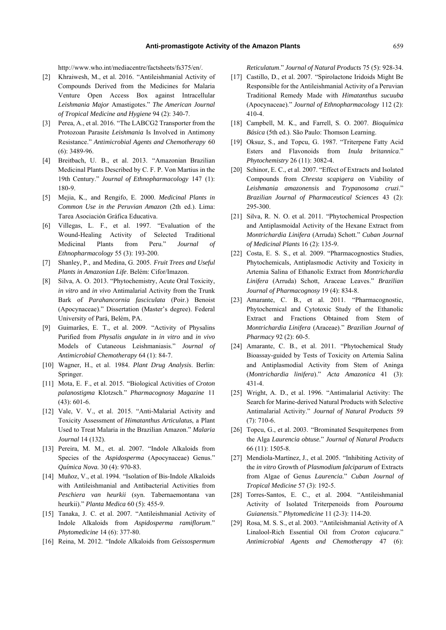http://www.who.int/mediacentre/factsheets/fs375/en/.

- [2] Khraiwesh, M., et al. 2016. "Antileishmanial Activity of Compounds Derived from the Medicines for Malaria Venture Open Access Box against Intracellular *Leishmania Major* Amastigotes." *The American Journal of Tropical Medicine and Hygiene* 94 (2): 340-7.
- [3] Perea, A., et al. 2016. "The LABCG2 Transporter from the Protozoan Parasite *Leishmania* Is Involved in Antimony Resistance." *Antimicrobial Agents and Chemotherapy* 60 (6): 3489-96.
- [4] Breitbach, U. B., et al. 2013. "Amazonian Brazilian Medicinal Plants Described by C. F. P. Von Martius in the 19th Century." *Journal of Ethnopharmacology* 147 (1): 180-9.
- [5] Mejia, K., and Rengifo, E. 2000. *Medicinal Plants in Common Use in the Peruvian Amazon* (2th ed.). Lima: Tarea Asociación Gráfica Educativa.
- [6] Villegas, L. F., et al. 1997. "Evaluation of the Wound-Healing Activity of Selected Traditional Medicinal Plants from Peru." *Journal of Ethnopharmacology* 55 (3): 193-200.
- [7] Shanley, P., and Medina, G. 2005. *Fruit Trees and Useful Plants in Amazonian Life*. Belém: Cifor/Imazon.
- [8] Silva, A. O. 2013. "Phytochemistry, Acute Oral Toxicity, *in vitro* and *in vivo* Antimalarial Activity from the Trunk Bark of *Parahancornia fasciculata* (Poir.) Benoist (Apocynaceae)." Dissertation (Master's degree). Federal University of Pará, Belém, PA.
- [9] Guimarães, E. T., et al. 2009. "Activity of Physalins Purified from *Physalis angulate* in *in vitro* and *in vivo* Models of Cutaneous Leishmaniasis." *Journal of Antimicrobial Chemotherapy* 64 (1): 84-7.
- [10] Wagner, H., et al. 1984. *Plant Drug Analysis*. Berlin: Springer.
- [11] Mota, E. F., et al. 2015. "Biological Activities of *Croton palanostigma* Klotzsch." *Pharmacognosy Magazine* 11 (43): 601-6.
- [12] Vale, V. V., et al. 2015. "Anti-Malarial Activity and Toxicity Assessment of *Himatanthus Articulatus*, a Plant Used to Treat Malaria in the Brazilian Amazon." *Malaria Journal* 14 (132).
- [13] Pereira, M. M., et. al. 2007. "Indole Alkaloids from Species of the *Aspidosperma* (Apocynaceae) Genus." *Química Nova.* 30 (4): 970-83.
- [14] Muñoz, V., et al. 1994. "Isolation of Bis-Indole Alkaloids with Antileishmanial and Antibacterial Activities from *Peschiera van heurkii* (syn. Tabernaemontana van heurkii)." *Planta Medica* 60 (5): 455-9.
- [15] Tanaka, J. C. et al. 2007. "Antileishmanial Activity of Indole Alkaloids from *Aspidosperma ramiflorum*." *Phytomedicine* 14 (6): 377-80.
- [16] Reina, M. 2012. "Indole Alkaloids from *Geissospermum*

*Reticulatum*." *Journal of Natural Products* 75 (5): 928-34.

- [17] Castillo, D., et al. 2007. "Spirolactone Iridoids Might Be Responsible for the Antileishmanial Activity of a Peruvian Traditional Remedy Made with *Himatanthus sucuuba*  (Apocynaceae)." *Journal of Ethnopharmacology* 112 (2): 410-4.
- [18] Campbell, M. K., and Farrell, S. O. 2007. *Bioquímica Básica* (5th ed.). São Paulo: Thomson Learning.
- [19] Oksuz, S., and Topcu, G. 1987. "Triterpene Fatty Acid Esters and Flavonoids from *Inula britannica*." *Phytochemistry* 26 (11): 3082-4.
- [20] Schinor, E. C., et al. 2007. "Effect of Extracts and Isolated Compounds from *Chresta scapigera* on Viability of *Leishmania amazonensis* and *Trypanosoma cruzi*." *Brazilian Journal of Pharmaceutical Sciences* 43 (2): 295-300.
- [21] Silva, R. N. O. et al. 2011. "Phytochemical Prospection and Antiplasmoidal Activity of the Hexane Extract from *Montrichardia Linifera* (Arruda) Schott." *Cuban Journal of Medicinal Plants* 16 (2): 135-9.
- [22] Costa, E. S. S., et al. 2009. "Pharmacognostics Studies, Phytochemicals, Antiplasmodic Activity and Toxicity in Artemia Salina of Ethanolic Extract from *Montrichardia Linifera* (Arruda) Schott, Araceae Leaves." *Brazilian Journal of Pharmacognosy* 19 (4): 834-8.
- [23] Amarante, C. B., et al. 2011. "Pharmacognostic, Phytochemical and Cytotoxic Study of the Ethanolic Extract and Fractions Obtained from Stem of *Montrichardia Linifera* (Araceae)." *Brazilian Journal of Pharmacy* 92 (2): 60-5.
- [24] Amarante, C. B., et al. 2011. "Phytochemical Study Bioassay-guided by Tests of Toxicity on Artemia Salina and Antiplasmodial Activity from Stem of Aninga (*Montrichardia linifera*)." *Acta Amazonica* 41 (3): 431-4.
- [25] Wright, A. D., et al. 1996. "Antimalarial Activity: The Search for Marine-derived Natural Products with Selective Antimalarial Activity." *Journal of Natural Products* 59 (7): 710-6.
- [26] Topcu, G., et al. 2003. "Brominated Sesquiterpenes from the Alga *Laurencia obtuse.*" *Journal of Natural Products* 66 (11): 1505-8.
- [27] Mendiola-Martínez, J., et al. 2005. "Inhibiting Activity of the *in vitro* Growth of *Plasmodium falciparum* of Extracts from Algae of Genus *Laurencia.*" *Cuban Journal of Tropical Medicine* 57 (3): 192-5.
- [28] Torres-Santos, E. C., et al. 2004. "Antileishmanial Activity of Isolated Triterpenoids from *Pourouma Guianensis*." *Phytomedicine* 11 (2-3): 114-20.
- [29] Rosa, M. S. S., et al. 2003. "Antileishmanial Activity of A Linalool-Rich Essential Oil from *Croton cajucara*." *Antimicrobial Agents and Chemotherapy* 47 (6):